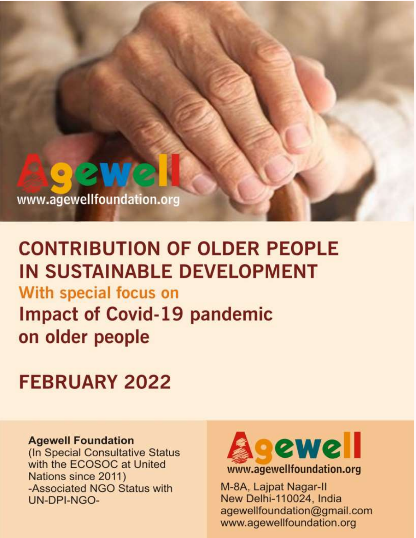

www.agewellfoundation.org

# **CONTRIBUTION OF OLDER PEOPLE IN SUSTAINABLE DEVELOPMENT**

With special focus on **Impact of Covid-19 pandemic** on older people

# **FEBRUARY 2022**

#### **Agewell Foundation**

(In Special Consultative Status with the ECOSOC at United Nations since 2011) -Associated NGO Status with UN-DPI-NGO-



M-8A, Lajpat Nagar-II New Delhi-110024, India agewellfoundation@gmail.com www.agewellfoundation.org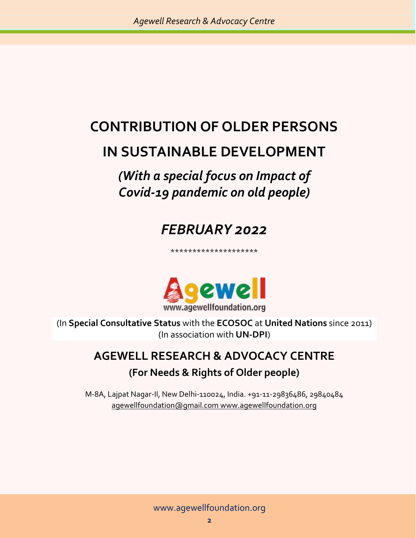# **CONTRIBUTION OF OLDER PERSONS IN SUSTAINABLE DEVELOPMENT**

### *(With a special focus on Impact of Covid-19 pandemic on old people)*

### *FEBRUARY 2022*

\*\*\*\*\*\*\*\*\*\*\*\*\*\*\*\*\*\*\*\*



(In **Special Consultative Status** with the **ECOSOC** at **United Nations** since 2011) (In association with **UN-DPI**)

### **AGEWELL RESEARCH & ADVOCACY CENTRE (For Needs & Rights of Older people)**

M-8A, Lajpat Nagar-II, New Delhi-110024, India. +91-11-29836486, 29840484 [agewellfoundation@gmail.com](mailto:agewellfoundation@gmail.com) www.agewellfoundation.org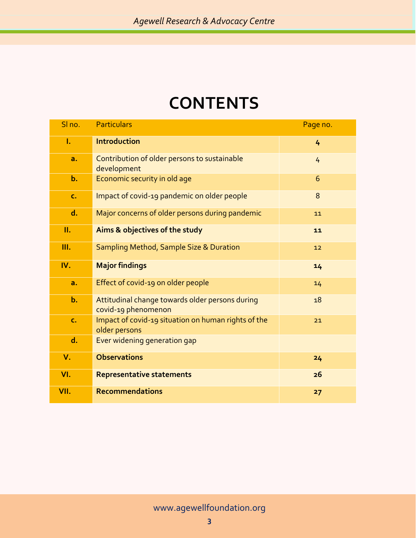## **CONTENTS**

| SI no.         | <b>Particulars</b>                                                     | Page no.      |
|----------------|------------------------------------------------------------------------|---------------|
| Ī.             | <b>Introduction</b>                                                    | 4             |
| a.             | Contribution of older persons to sustainable<br>development            | 4             |
| $b$ .          | Economic security in old age                                           | 6             |
| $\mathsf{C}$ . | Impact of covid-19 pandemic on older people                            | 8             |
| d.             | Major concerns of older persons during pandemic                        | 11            |
| П.             | Aims & objectives of the study                                         | $\mathbf{11}$ |
| Ш.             | Sampling Method, Sample Size & Duration                                | 12            |
| IV.            | <b>Major findings</b>                                                  | 14            |
| a.             | Effect of covid-19 on older people                                     | 14            |
| $b$ .          | Attitudinal change towards older persons during<br>covid-19 phenomenon | 18            |
| $\mathsf{C}$ . | Impact of covid-19 situation on human rights of the<br>older persons   | 21            |
| d.             | Ever widening generation gap                                           |               |
| $V_{\cdot}$    | <b>Observations</b>                                                    | 24            |
| VI.            | <b>Representative statements</b>                                       | 26            |
| VII.           | <b>Recommendations</b>                                                 | 27            |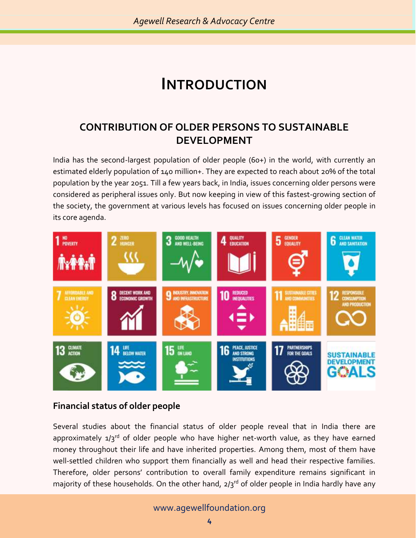### **INTRODUCTION**

#### **CONTRIBUTION OF OLDER PERSONS TO SUSTAINABLE DEVELOPMENT**

India has the second-largest population of older people (60+) in the world, with currently an estimated elderly population of 140 million+. They are expected to reach about 20% of the total population by the year 2051. Till a few years back, in India, issues concerning older persons were considered as peripheral issues only. But now keeping in view of this fastest-growing section of the society, the government at various levels has focused on issues concerning older people in its core agenda.



#### **Financial status of older people**

Several studies about the financial status of older people reveal that in India there are approximately  $1/3^{rd}$  of older people who have higher net-worth value, as they have earned money throughout their life and have inherited properties. Among them, most of them have well-settled children who support them financially as well and head their respective families. Therefore, older persons' contribution to overall family expenditure remains significant in majority of these households. On the other hand,  $2/3^{rd}$  of older people in India hardly have any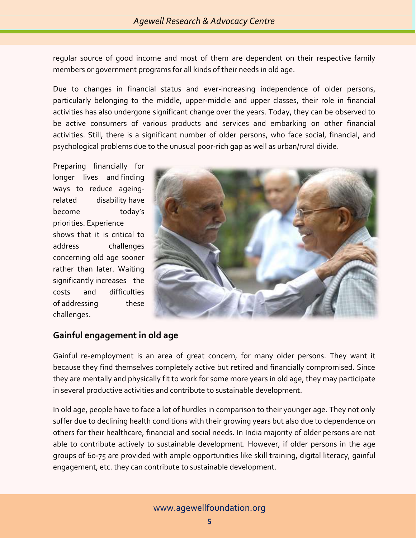regular source of good income and most of them are dependent on their respective family members or government programs for all kinds of their needs in old age.

Due to changes in financial status and ever-increasing independence of older persons, particularly belonging to the middle, upper-middle and upper classes, their role in financial activities has also undergone significant change over the years. Today, they can be observed to be active consumers of various products and services and embarking on other financial activities. Still, there is a significant number of older persons, who face social, financial, and psychological problems due to the unusual poor-rich gap as well as urban/rural divide.

Preparing financially for longer lives and finding ways to reduce ageingrelated disability have become today's priorities. Experience shows that it is critical to address challenges concerning old age sooner rather than later. Waiting significantly increases the costs and difficulties of addressing these challenges.



#### **Gainful engagement in old age**

Gainful re-employment is an area of great concern, for many older persons. They want it because they find themselves completely active but retired and financially compromised. Since they are mentally and physically fit to work for some more years in old age, they may participate in several productive activities and contribute to sustainable development.

In old age, people have to face a lot of hurdles in comparison to their younger age. They not only suffer due to declining health conditions with their growing years but also due to dependence on others for their healthcare, financial and social needs. In India majority of older persons are not able to contribute actively to sustainable development. However, if older persons in the age groups of 60-75 are provided with ample opportunities like skill training, digital literacy, gainful engagement, etc. they can contribute to sustainable development.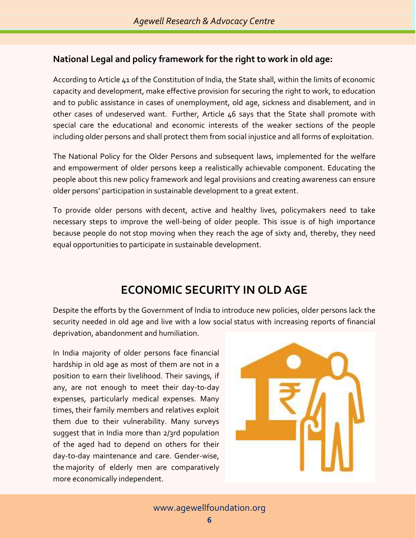#### **National Legal and policy framework for the right to work in old age:**

According to Article 41 of the Constitution of India, the State shall, within the limits of economic capacity and development, make effective provision for securing the right to work, to education and to public assistance in cases of unemployment, old age, sickness and disablement, and in other cases of undeserved want. Further, Article 46 says that the State shall promote with special care the educational and economic interests of the weaker sections of the people including older persons and shall protect them from social injustice and all forms of exploitation.

The National Policy for the Older Persons and subsequent laws, implemented for the welfare and empowerment of older persons keep a realistically achievable component. Educating the people about this new policy framework and legal provisions and creating awareness can ensure older persons' participation in sustainable development to a great extent.

To provide older persons with decent, active and healthy lives, policymakers need to take necessary steps to improve the well-being of older people. This issue is of high importance because people do not stop moving when they reach the age of sixty and, thereby, they need equal opportunities to participate in sustainable development.

### **ECONOMIC SECURITY IN OLD AGE**

Despite the efforts by the Government of India to introduce new policies, older persons lack the security needed in old age and live with a low social status with increasing reports of financial deprivation, abandonment and humiliation.

In India majority of older persons face financial hardship in old age as most of them are not in a position to earn their livelihood. Their savings, if any, are not enough to meet their day-to-day expenses, particularly medical expenses. Many times, their family members and relatives exploit them due to their vulnerability. Many surveys suggest that in India more than 2/3rd population of the aged had to depend on others for their day-to-day maintenance and care. Gender-wise, the majority of elderly men are comparatively more economically independent.

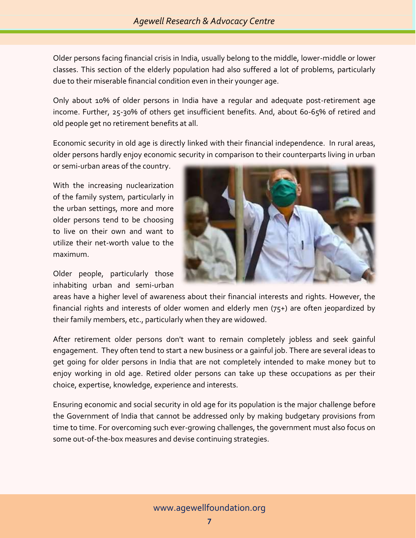Older persons facing financial crisis in India, usually belong to the middle, lower-middle or lower classes. This section of the elderly population had also suffered a lot of problems, particularly due to their miserable financial condition even in their younger age.

Only about 10% of older persons in India have a regular and adequate post-retirement age income. Further, 25-30% of others get insufficient benefits. And, about 60-65% of retired and old people get no retirement benefits at all.

Economic security in old age is directly linked with their financial independence. In rural areas, older persons hardly enjoy economic security in comparison to their counterparts living in urban or semi-urban areas of the country.

With the increasing nuclearization of the family system, particularly in the urban settings, more and more older persons tend to be choosing to live on their own and want to utilize their net-worth value to the maximum.

Older people, particularly those inhabiting urban and semi-urban



areas have a higher level of awareness about their financial interests and rights. However, the financial rights and interests of older women and elderly men (75+) are often jeopardized by their family members, etc., particularly when they are widowed.

After retirement older persons don't want to remain completely jobless and seek gainful engagement. They often tend to start a new business or a gainful job. There are several ideas to get going for older persons in India that are not completely intended to make money but to enjoy working in old age. Retired older persons can take up these occupations as per their choice, expertise, knowledge, experience and interests.

Ensuring economic and social security in old age for its population is the major challenge before the Government of India that cannot be addressed only by making budgetary provisions from time to time. For overcoming such ever-growing challenges, the government must also focus on some out-of-the-box measures and devise continuing strategies.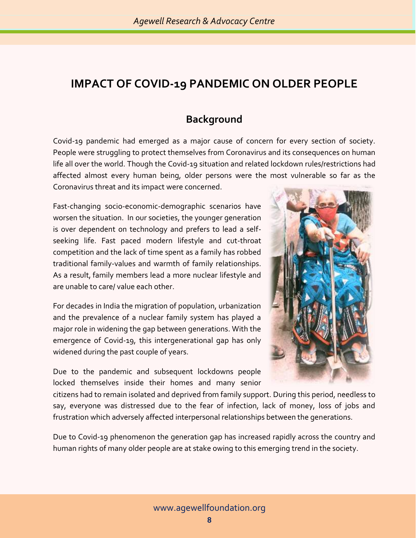### **IMPACT OF COVID-19 PANDEMIC ON OLDER PEOPLE**

#### **Background**

Covid-19 pandemic had emerged as a major cause of concern for every section of society. People were struggling to protect themselves from Coronavirus and its consequences on human life all over the world. Though the Covid-19 situation and related lockdown rules/restrictions had affected almost every human being, older persons were the most vulnerable so far as the Coronavirus threat and its impact were concerned.

Fast-changing socio-economic-demographic scenarios have worsen the situation. In our societies, the younger generation is over dependent on technology and prefers to lead a selfseeking life. Fast paced modern lifestyle and cut-throat competition and the lack of time spent as a family has robbed traditional family-values and warmth of family relationships. As a result, family members lead a more nuclear lifestyle and are unable to care/ value each other.

For decades in India the migration of population, urbanization and the prevalence of a nuclear family system has played a major role in widening the gap between generations. With the emergence of Covid-19, this intergenerational gap has only widened during the past couple of years.

Due to the pandemic and subsequent lockdowns people locked themselves inside their homes and many senior



citizens had to remain isolated and deprived from family support. During this period, needless to say, everyone was distressed due to the fear of infection, lack of money, loss of jobs and frustration which adversely affected interpersonal relationships between the generations.

Due to Covid-19 phenomenon the generation gap has increased rapidly across the country and human rights of many older people are at stake owing to this emerging trend in the society.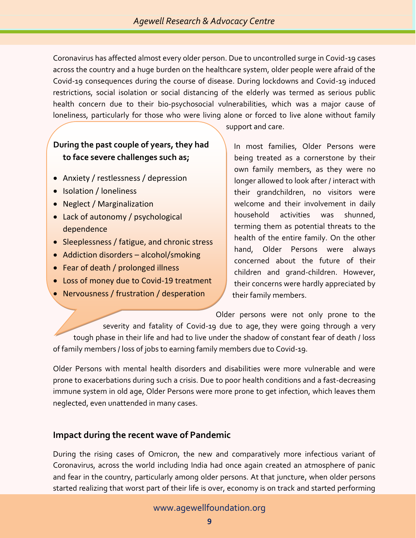Coronavirus has affected almost every older person. Due to uncontrolled surge in Covid-19 cases across the country and a huge burden on the healthcare system, older people were afraid of the Covid-19 consequences during the course of disease. During lockdowns and Covid-19 induced restrictions, social isolation or social distancing of the elderly was termed as serious public health concern due to their bio‐psychosocial vulnerabilities, which was a major cause of loneliness, particularly for those who were living alone or forced to live alone without family

#### **During the past couple of years, they had to face severe challenges such as;**

- Anxiety / restlessness / depression
- Isolation / loneliness
- Neglect / Marginalization
- Lack of autonomy / psychological dependence
- Sleeplessness / fatigue, and chronic stress
- Addiction disorders alcohol/smoking
- Fear of death / prolonged illness

• Self-neglect / loss of self-esteem

- Loss of money due to Covid-19 treatment
- Nervousness / frustration / desperation

support and care.

In most families, Older Persons were being treated as a cornerstone by their own family members, as they were no longer allowed to look after / interact with their grandchildren, no visitors were welcome and their involvement in daily household activities was shunned, terming them as potential threats to the health of the entire family. On the other hand, Older Persons were always concerned about the future of their children and grand-children. However, their concerns were hardly appreciated by their family members.

Older persons were not only prone to the

• Mistreatment / elder abuse severity and fatality of Covid-19 due to age, they were going through a very tough phase in their life and had to live under the shadow of constant fear of death / loss of family members / loss of jobs to earning family members due to Covid-19.

Older Persons with mental health disorders and disabilities were more vulnerable and were prone to exacerbations during such a crisis. Due to poor health conditions and a fast-decreasing immune system in old age, Older Persons were more prone to get infection, which leaves them neglected, even unattended in many cases.

#### **Impact during the recent wave of Pandemic**

During the rising cases of Omicron, the new and comparatively more infectious variant of Coronavirus, across the world including India had once again created an atmosphere of panic and fear in the country, particularly among older persons. At that juncture, when older persons started realizing that worst part of their life is over, economy is on track and started performing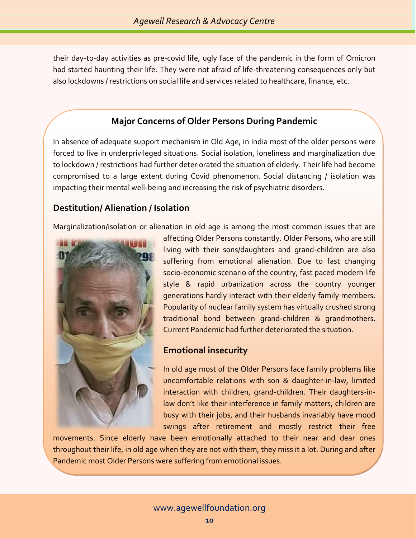their day-to-day activities as pre-covid life, ugly face of the pandemic in the form of Omicron had started haunting their life. They were not afraid of life-threatening consequences only but also lockdowns / restrictions on social life and services related to healthcare, finance, etc.

#### **Major Concerns of Older Persons During Pandemic**

In absence of adequate support mechanism in Old Age, in India most of the older persons were forced to live in underprivileged situations. Social isolation, loneliness and marginalization due to lockdown / restrictions had further deteriorated the situation of elderly. Their life had become compromised to a large extent during Covid phenomenon. Social distancing / isolation was impacting their mental well-being and increasing the risk of psychiatric disorders.

#### **Destitution/ Alienation / Isolation**

Marginalization/isolation or alienation in old age is among the most common issues that are



affecting Older Persons constantly. Older Persons, who are still living with their sons/daughters and grand-children are also suffering from emotional alienation. Due to fast changing socio-economic scenario of the country, fast paced modern life style & rapid urbanization across the country younger generations hardly interact with their elderly family members. Popularity of nuclear family system has virtually crushed strong traditional bond between grand-children & grandmothers. Current Pandemic had further deteriorated the situation.

#### **Emotional insecurity**

In old age most of the Older Persons face family problems like uncomfortable relations with son & daughter-in-law, limited interaction with children, grand-children. Their daughters-inlaw don't like their interference in family matters, children are busy with their jobs, and their husbands invariably have mood swings after retirement and mostly restrict their free

movements. Since elderly have been emotionally attached to their near and dear ones throughout their life, in old age when they are not with them, they miss it a lot. During and after Pandemic most Older Persons were suffering from emotional issues.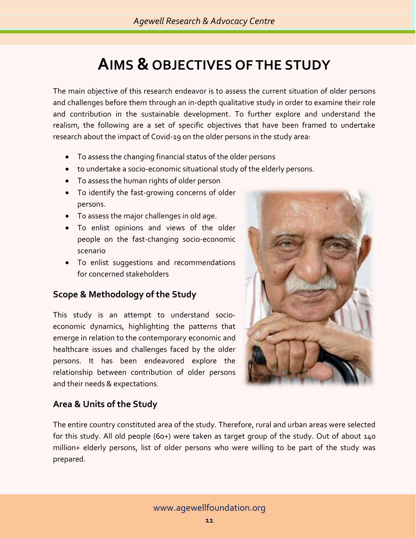# **AIMS & OBJECTIVES OF THE STUDY**

The main objective of this research endeavor is to assess the current situation of older persons and challenges before them through an in-depth qualitative study in order to examine their role and contribution in the sustainable development. To further explore and understand the realism, the following are a set of specific objectives that have been framed to undertake research about the impact of Covid-19 on the older persons in the study area:

- To assess the changing financial status of the older persons
- to undertake a socio-economic situational study of the elderly persons.
- To assess the human rights of older person
- To identify the fast-growing concerns of older persons.
- To assess the major challenges in old age.
- To enlist opinions and views of the older people on the fast-changing socio-economic scenario
- To enlist suggestions and recommendations for concerned stakeholders

#### **Scope & Methodology of the Study**

This study is an attempt to understand socioeconomic dynamics, highlighting the patterns that emerge in relation to the contemporary economic and healthcare issues and challenges faced by the older persons. It has been endeavored explore the relationship between contribution of older persons and their needs & expectations.



#### **Area & Units of the Study**

The entire country constituted area of the study. Therefore, rural and urban areas were selected for this study. All old people (60+) were taken as target group of the study. Out of about 140 million+ elderly persons, list of older persons who were willing to be part of the study was prepared.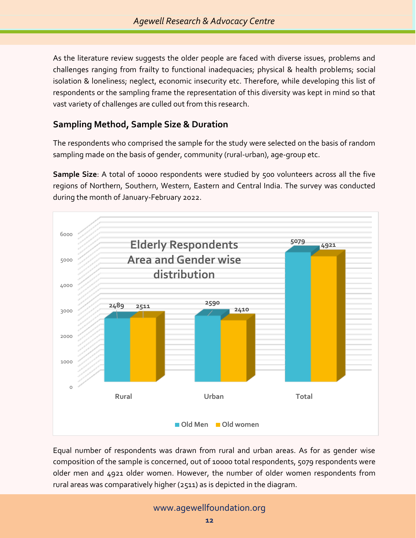As the literature review suggests the older people are faced with diverse issues, problems and challenges ranging from frailty to functional inadequacies; physical & health problems; social isolation & loneliness; neglect, economic insecurity etc. Therefore, while developing this list of respondents or the sampling frame the representation of this diversity was kept in mind so that vast variety of challenges are culled out from this research.

#### **Sampling Method, Sample Size & Duration**

The respondents who comprised the sample for the study were selected on the basis of random sampling made on the basis of gender, community (rural-urban), age-group etc.

**Sample Size:** A total of 10000 respondents were studied by 500 volunteers across all the five regions of Northern, Southern, Western, Eastern and Central India. The survey was conducted during the month of January-February 2022.



Equal number of respondents was drawn from rural and urban areas. As for as gender wise composition of the sample is concerned, out of 10000 total respondents, 5079 respondents were older men and 4921 older women. However, the number of older women respondents from rural areas was comparatively higher (2511) as is depicted in the diagram.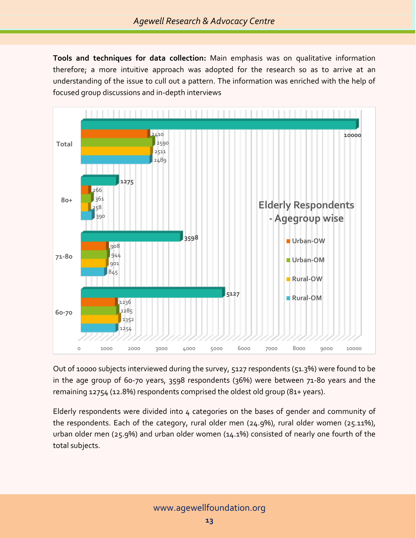**Tools and techniques for data collection:** Main emphasis was on qualitative information therefore; a more intuitive approach was adopted for the research so as to arrive at an understanding of the issue to cull out a pattern. The information was enriched with the help of focused group discussions and in-depth interviews



Out of 10000 subjects interviewed during the survey, 5127 respondents (51.3%) were found to be in the age group of 60-70 years, 3598 respondents (36%) were between 71-80 years and the remaining 12754 (12.8%) respondents comprised the oldest old group (81+ years).

Elderly respondents were divided into 4 categories on the bases of gender and community of the respondents. Each of the category, rural older men (24.9%), rural older women (25.11%), urban older men (25.9%) and urban older women (14.1%) consisted of nearly one fourth of the total subjects.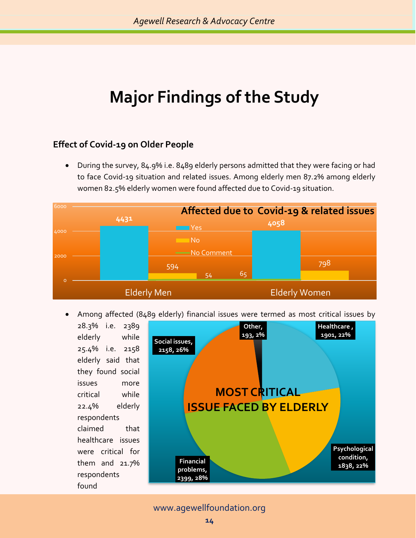# **Major Findings of the Study**

#### **Effect of Covid-19 on Older People**

• During the survey, 84.9% i.e. 8489 elderly persons admitted that they were facing or had to face Covid-19 situation and related issues. Among elderly men 87.2% among elderly women 82.5% elderly women were found affected due to Covid-19 situation.



• Among affected (8489 elderly) financial issues were termed as most critical issues by

28.3% i.e. 2389 elderly while 25.4% i.e. 2158 elderly said that they found social issues more critical while 22.4% elderly respondents claimed that healthcare issues were critical for them and 21.7% respondents found **Healthcare , 1901, 22% Psychological condition, 1838, 22% 1838, 22% 1838, 22% problems, 2399, 28% Social issues, 2158, 26% Other, 193, 2% MOST CRITICAL ISSUE FACED BY ELDERLY**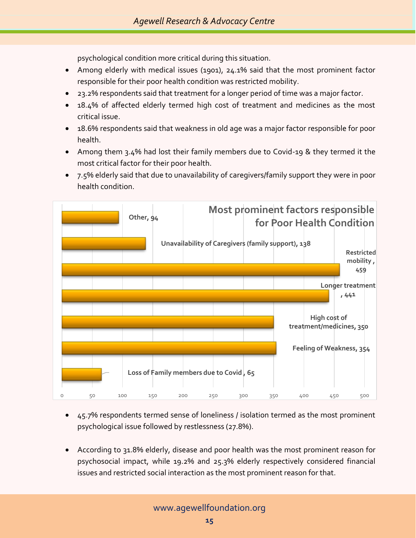psychological condition more critical during this situation.

- Among elderly with medical issues (1901), 24.1% said that the most prominent factor responsible for their poor health condition was restricted mobility.
- 23.2% respondents said that treatment for a longer period of time was a major factor.
- 18.4% of affected elderly termed high cost of treatment and medicines as the most critical issue.
- 18.6% respondents said that weakness in old age was a major factor responsible for poor health.
- Among them 3.4% had lost their family members due to Covid-19 & they termed it the most critical factor for their poor health.
- 7.5% elderly said that due to unavailability of caregivers/family support they were in poor health condition.



- 45.7% respondents termed sense of loneliness / isolation termed as the most prominent psychological issue followed by restlessness (27.8%).
- According to 31.8% elderly, disease and poor health was the most prominent reason for psychosocial impact, while 19.2% and 25.3% elderly respectively considered financial issues and restricted social interaction as the most prominent reason for that.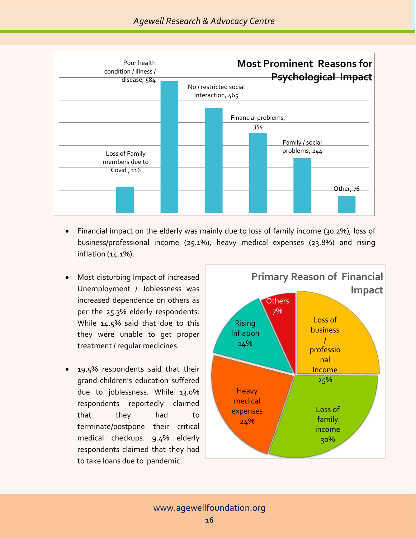

- Financial impact on the elderly was mainly due to loss of family income (30.2%), loss of business/professional income (25.1%), heavy medical expenses (23.8%) and rising inflation (14.1%).
- Most disturbing Impact of increased Unemployment / Joblessness was increased dependence on others as per the 25.3% elderly respondents. While 14.5% said that due to this they were unable to get proper treatment / regular medicines.
- 19.5% respondents said that their grand-children's education suffered due to joblessness. While 13.0% respondents reportedly claimed that they had to terminate/postpone their critical medical checkups. 9.4% elderly respondents claimed that they had to take loans due to pandemic.

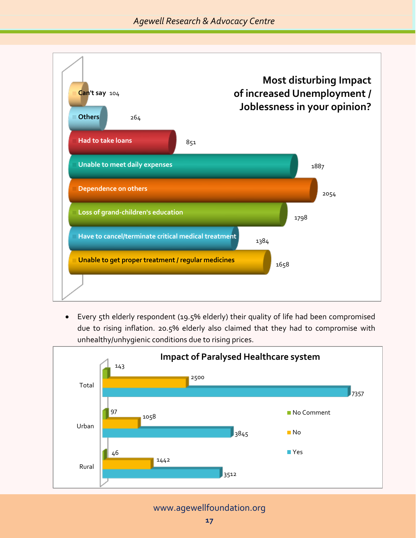

• Every 5th elderly respondent (19.5% elderly) their quality of life had been compromised due to rising inflation. 20.5% elderly also claimed that they had to compromise with unhealthy/unhygienic conditions due to rising prices.



[www.agewellfoundation.org](http://www.agewellfoundation.org/)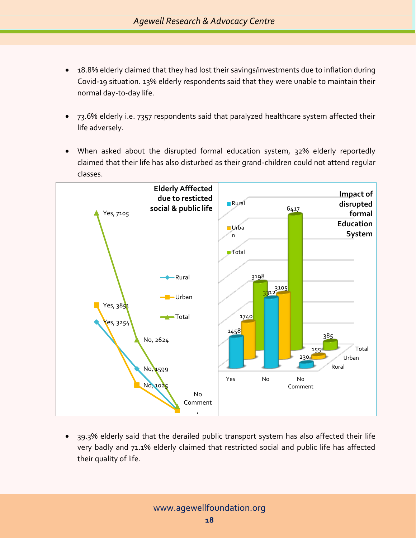- 18.8% elderly claimed that they had lost their savings/investments due to inflation during Covid-19 situation. 13% elderly respondents said that they were unable to maintain their normal day-to-day life.
- 73.6% elderly i.e. 7357 respondents said that paralyzed healthcare system affected their life adversely.
- When asked about the disrupted formal education system, 32% elderly reportedly claimed that their life has also disturbed as their grand-children could not attend regular classes.



• 39.3% elderly said that the derailed public transport system has also affected their life very badly and 71.1% elderly claimed that restricted social and public life has affected their quality of life.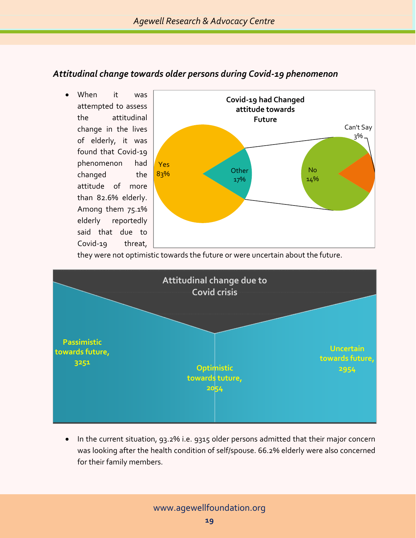#### *Attitudinal change towards older persons during Covid-19 phenomenon*

When it was attempted to assess the attitudinal change in the lives of elderly, it was found that Covid-19 phenomenon had changed the attitude of more than 82.6% elderly. Among them 75.1% elderly reportedly said that due to Covid-19 threat,



they were not optimistic towards the future or were uncertain about the future.



• In the current situation, 93.2% i.e. 9315 older persons admitted that their major concern was looking after the health condition of self/spouse. 66.2% elderly were also concerned for their family members.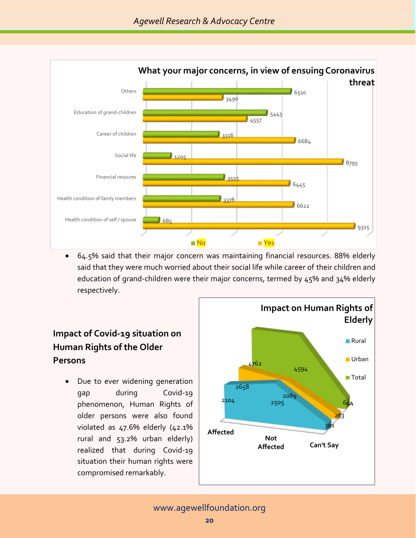

• 64.5% said that their major concern was maintaining financial resources. 88% elderly said that they were much worried about their social life while career of their children and education of grand-children were their major concerns, termed by 45% and 34% elderly respectively.

#### **Impact of Covid-19 situation on Human Rights of the Older Persons**

Due to ever widening generation gap during Covid-19 phenomenon, Human Rights of older persons were also found violated as  $47.6\%$  elderly  $(42.1\%$ rural and 53.2% urban elderly) realized that during Covid-19 situation their human rights were compromised remarkably.

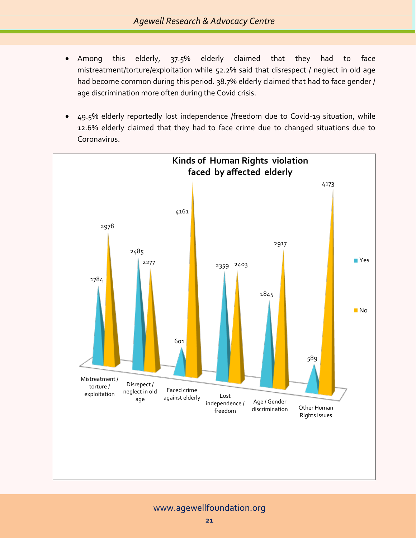- Among this elderly, 37.5% elderly claimed that they had to face mistreatment/torture/exploitation while 52.2% said that disrespect / neglect in old age had become common during this period. 38.7% elderly claimed that had to face gender / age discrimination more often during the Covid crisis.
- 49.5% elderly reportedly lost independence /freedom due to Covid-19 situation, while 12.6% elderly claimed that they had to face crime due to changed situations due to Coronavirus.



[www.agewellfoundation.org](http://www.agewellfoundation.org/)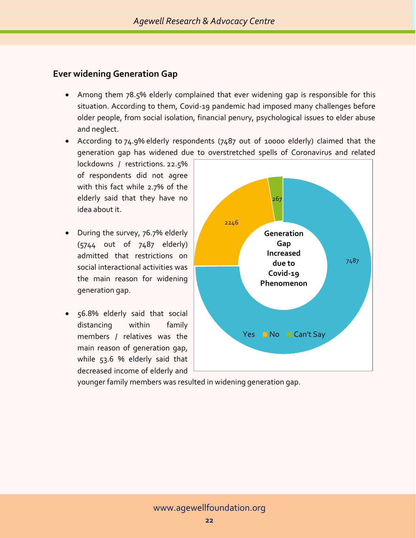#### **Ever widening Generation Gap**

- Among them 78.5% elderly complained that ever widening gap is responsible for this situation. According to them, Covid-19 pandemic had imposed many challenges before older people, from social isolation, financial penury, psychological issues to elder abuse and neglect.
- According to 74.9% elderly respondents (7487 out of 10000 elderly) claimed that the generation gap has widened due to overstretched spells of Coronavirus and related

lockdowns / restrictions. 22.5% of respondents did not agree with this fact while 2.7% of the elderly said that they have no idea about it.

- During the survey, 76.7% elderly (5744 out of 7487 elderly) admitted that restrictions on social interactional activities was the main reason for widening generation gap.
- 56.8% elderly said that social distancing within family members / relatives was the main reason of generation gap, while 53.6 % elderly said that decreased income of elderly and



younger family members was resulted in widening generation gap.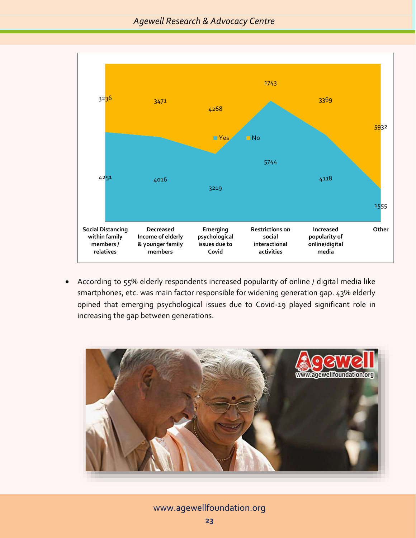

• According to 55% elderly respondents increased popularity of online / digital media like smartphones, etc. was main factor responsible for widening generation gap. 43% elderly opined that emerging psychological issues due to Covid-19 played significant role in increasing the gap between generations.



[www.agewellfoundation.org](http://www.agewellfoundation.org/)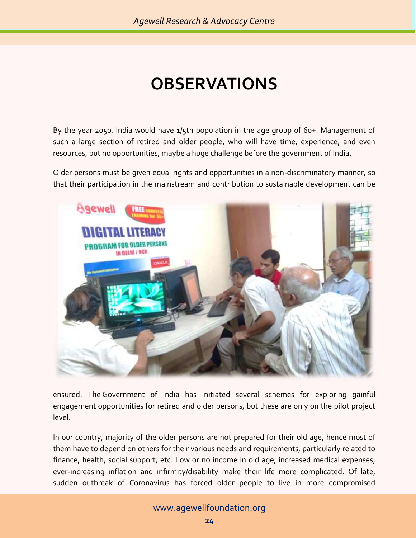# **OBSERVATIONS**

By the year 2050, India would have 1/5th population in the age group of 60+. Management of such a large section of retired and older people, who will have time, experience, and even resources, but no opportunities, maybe a huge challenge before the government of India.

Older persons must be given equal rights and opportunities in a non-discriminatory manner, so that their participation in the mainstream and contribution to sustainable development can be



ensured. The Government of India has initiated several schemes for exploring gainful engagement opportunities for retired and older persons, but these are only on the pilot project level.

In our country, majority of the older persons are not prepared for their old age, hence most of them have to depend on others for their various needs and requirements, particularly related to finance, health, social support, etc. Low or no income in old age, increased medical expenses, ever-increasing inflation and infirmity/disability make their life more complicated. Of late, sudden outbreak of Coronavirus has forced older people to live in more compromised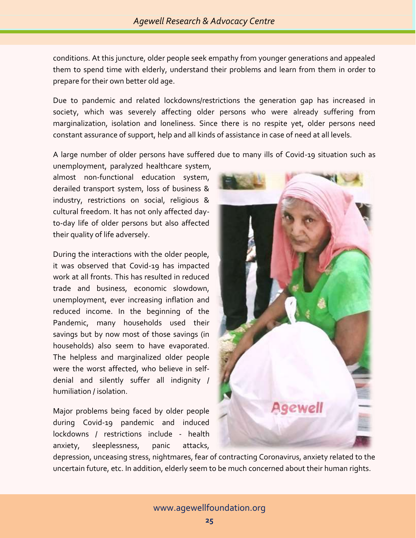conditions. At this juncture, older people seek empathy from younger generations and appealed them to spend time with elderly, understand their problems and learn from them in order to prepare for their own better old age.

Due to pandemic and related lockdowns/restrictions the generation gap has increased in society, which was severely affecting older persons who were already suffering from marginalization, isolation and loneliness. Since there is no respite yet, older persons need constant assurance of support, help and all kinds of assistance in case of need at all levels.

A large number of older persons have suffered due to many ills of Covid-19 situation such as

unemployment, paralyzed healthcare system, almost non-functional education system, derailed transport system, loss of business & industry, restrictions on social, religious & cultural freedom. It has not only affected dayto-day life of older persons but also affected their quality of life adversely.

During the interactions with the older people, it was observed that Covid-19 has impacted work at all fronts. This has resulted in reduced trade and business, economic slowdown, unemployment, ever increasing inflation and reduced income. In the beginning of the Pandemic, many households used their savings but by now most of those savings (in households) also seem to have evaporated. The helpless and marginalized older people were the worst affected, who believe in selfdenial and silently suffer all indignity / humiliation / isolation.

Major problems being faced by older people during Covid-19 pandemic and induced lockdowns / restrictions include - health anxiety, sleeplessness, panic attacks,



depression, unceasing stress, nightmares, fear of contracting Coronavirus, anxiety related to the uncertain future, etc. In addition, elderly seem to be much concerned about their human rights.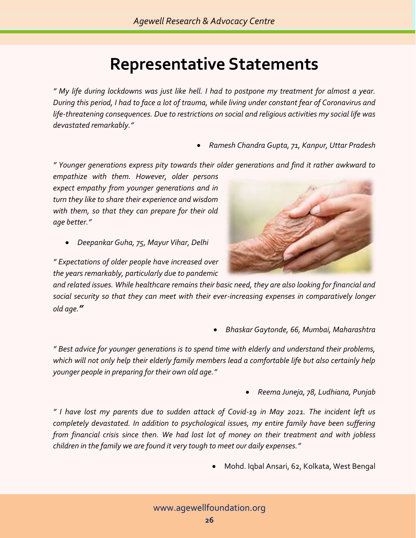## **Representative Statements**

*" My life during lockdowns was just like hell. I had to postpone my treatment for almost a year. During this period, I had to face a lot of trauma, while living under constant fear of Coronavirus and life-threatening consequences. Due to restrictions on social and religious activities my social life was devastated remarkably."* 

• *Ramesh Chandra Gupta, 71, Kanpur, Uttar Pradesh*

*" Younger generations express pity towards their older generations and find it rather awkward to* 

*empathize with them. However, older persons expect empathy from younger generations and in turn they like to share their experience and wisdom with them, so that they can prepare for their old age better."*

• *Deepankar Guha, 75, Mayur Vihar, Delhi*

*" Expectations of older people have increased over the years remarkably, particularly due to pandemic* 

*and related issues. While healthcare remains their basic need, they are also looking for financial and social security so that they can meet with their ever-increasing expenses in comparatively longer old age."*

• *Bhaskar Gaytonde, 66, Mumbai, Maharashtra*

*" Best advice for younger generations is to spend time with elderly and understand their problems, which will not only help their elderly family members lead a comfortable life but also certainly help younger people in preparing for their own old age."*

• *Reema Juneja, 78, Ludhiana, Punjab*

*" I have lost my parents due to sudden attack of Covid-19 in May 2021. The incident left us completely devastated. In addition to psychological issues, my entire family have been suffering from financial crisis since then. We had lost lot of money on their treatment and with jobless children in the family we are found it very tough to meet our daily expenses."*

• Mohd. Iqbal Ansari, 62, Kolkata, West Bengal

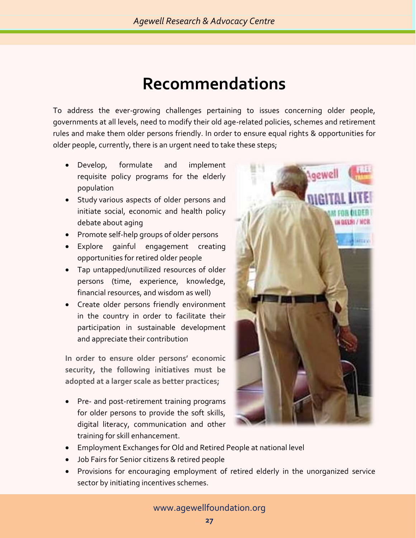### **Recommendations**

To address the ever-growing challenges pertaining to issues concerning older people, governments at all levels, need to modify their old age-related policies, schemes and retirement rules and make them older persons friendly. In order to ensure equal rights & opportunities for older people, currently, there is an urgent need to take these steps;

- Develop, formulate and implement requisite policy programs for the elderly population
- Study various aspects of older persons and initiate social, economic and health policy debate about aging
- Promote self-help groups of older persons
- Explore gainful engagement creating opportunities for retired older people
- Tap untapped/unutilized resources of older persons (time, experience, knowledge, financial resources, and wisdom as well)
- Create older persons friendly environment in the country in order to facilitate their participation in sustainable development and appreciate their contribution

**In order to ensure older persons' economic security, the following initiatives must be adopted at a larger scale as better practices;** 

• Pre- and post-retirement training programs for older persons to provide the soft skills, digital literacy, communication and other training for skill enhancement.



- Employment Exchanges for Old and Retired People at national level
- Job Fairs for Senior citizens & retired people
- Provisions for encouraging employment of retired elderly in the unorganized service sector by initiating incentives schemes.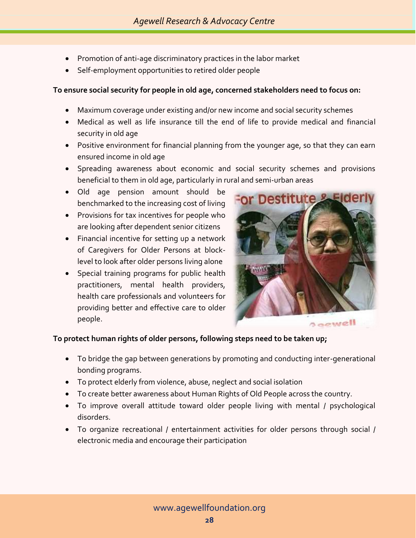- Promotion of anti-age discriminatory practices in the labor market
- Self-employment opportunities to retired older people

#### **To ensure social security for people in old age, concerned stakeholders need to focus on:**

- Maximum coverage under existing and/or new income and social security schemes
- Medical as well as life insurance till the end of life to provide medical and financial security in old age
- Positive environment for financial planning from the younger age, so that they can earn ensured income in old age
- Spreading awareness about economic and social security schemes and provisions beneficial to them in old age, particularly in rural and semi-urban areas
- Old age pension amount should be benchmarked to the increasing cost of living
- Provisions for tax incentives for people who are looking after dependent senior citizens
- Financial incentive for setting up a network of Caregivers for Older Persons at blocklevel to look after older persons living alone
- Special training programs for public health practitioners, mental health providers, health care professionals and volunteers for providing better and effective care to older people.



#### **To protect human rights of older persons, following steps need to be taken up;**

- To bridge the gap between generations by promoting and conducting inter-generational bonding programs.
- To protect elderly from violence, abuse, neglect and social isolation
- To create better awareness about Human Rights of Old People across the country.
- To improve overall attitude toward older people living with mental / psychological disorders.
- To organize recreational / entertainment activities for older persons through social / electronic media and encourage their participation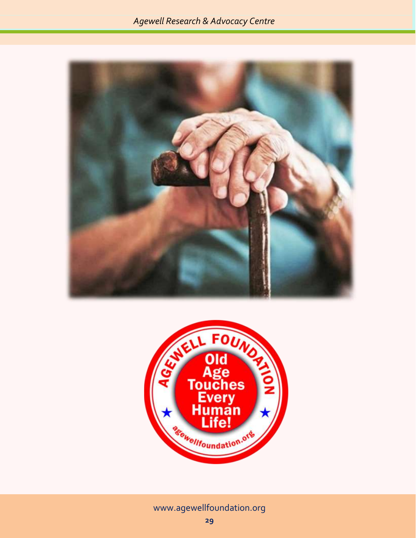



[www.agewellfoundation.org](http://www.agewellfoundation.org/)